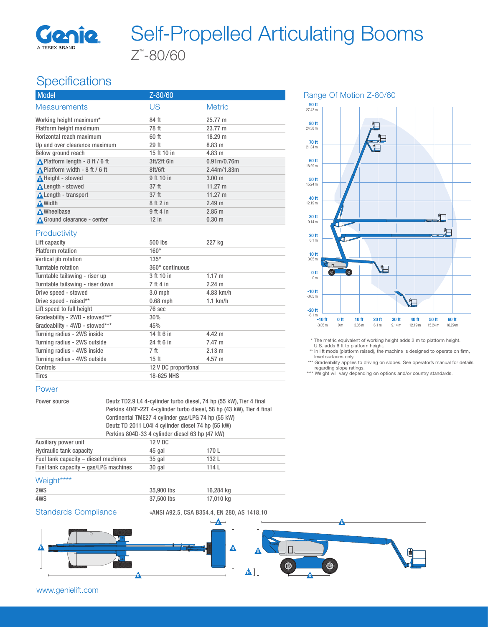

# Z™ -80/60 Self-Propelled Articulating Booms

## **Specifications**

| <b>Model</b>                                     | Z-80/60     |                                      |  |
|--------------------------------------------------|-------------|--------------------------------------|--|
| <b>Measurements</b>                              | US          | <b>Metric</b>                        |  |
| Working height maximum*                          | 84 ft       | 25.77 m                              |  |
| Platform height maximum                          | 78 ft       | 23.77 m                              |  |
| Horizontal reach maximum                         | 60 ft       | 18.29 m                              |  |
| Up and over clearance maximum                    | 29 ft       | 8.83 m                               |  |
| Below ground reach                               | 15 ft 10 in | $4.83 \; m$                          |  |
| $\triangle$ Platform length - 8 ft / 6 ft        | 3ft/2ft 6in | 0.91 <sub>m</sub> /0.76 <sub>m</sub> |  |
| A Platform width - $8 \text{ ft} / 6 \text{ ft}$ | 8ft/6ft     | 2.44m/1.83m                          |  |
| A Height - stowed                                | 9 ft 10 in  | 3.00 <sub>m</sub>                    |  |
| Length - stowed                                  | 37 ft       | 11.27 m                              |  |
| <b>A</b> Length - transport                      | 37 ft       | 11.27 m                              |  |
| A Width                                          | 8 ft 2 in   | 2.49 m                               |  |
| <b>A</b> Wheelbase                               | 9 ft 4 in   | 2.85 m                               |  |
| Ground clearance - center                        | $12$ in     | $0.30 \; \text{m}$                   |  |

#### **Productivity**

| Lift capacity                    | 500 lbs              | 227 kg           |
|----------------------------------|----------------------|------------------|
| Platform rotation                | $160^\circ$          |                  |
| Vertical jib rotation            | $135^\circ$          |                  |
| Turntable rotation               | 360° continuous      |                  |
| Turntable tailswing - riser up   | 3 ft 10 in           | $1.17 \text{ m}$ |
| Turntable tailswing - riser down | 7 ft 4 in            | $2.24 \text{ m}$ |
| Drive speed - stowed             | $3.0$ mph            | 4.83 km/h        |
| Drive speed - raised**           | $0.68$ mph           | $1.1$ km/h       |
| Lift speed to full height        | 76 sec               |                  |
| Gradeability - 2WD - stowed***   | 30%                  |                  |
| Gradeability - 4WD - stowed***   | 45%                  |                  |
| Turning radius - 2WS inside      | 14 ft 6 in           | 4.42 m           |
| Turning radius - 2WS outside     | 24 ft 6 in           | 7.47 m           |
| Turning radius - 4WS inside      | 7 ft                 | $2.13 \text{ m}$ |
| Turning radius - 4WS outside     | 15 ft                | $4.57 \; m$      |
| Controls                         | 12 V DC proportional |                  |
| Tires                            | 18-625 NHS           |                  |

#### Power

Power source Deutz TD2.9 L4 4-cylinder turbo diesel, 74 hp (55 kW), Tier 4 final Perkins 404F-22T 4-cylinder turbo diesel, 58 hp (43 kW), Tier 4 final Continental TME27 4 cylinder gas/LPG 74 hp (55 kW) Deutz TD 2011 L04i 4 cylinder diesel 74 hp (55 kW) Perkins 804D-33 4 cylinder diesel 63 hp (47 kW) Auxiliary power unit 12 V DC

| <b>AUAILALY PUWEL UILL</b>            | $L$ v DU |       |
|---------------------------------------|----------|-------|
| <b>Hydraulic tank capacity</b>        | 45 gal   | 170 L |
| Fuel tank capacity – diesel machines  | $35$ gal | 132 L |
| Fuel tank capacity – gas/LPG machines | 30 gal   | 114L  |
|                                       |          |       |

#### Weight\*\*\*\*

| 2WS | 35,900 lbs | 16,284 kg |
|-----|------------|-----------|
| 4WS | 37,500 lbs | 17,010 kg |

Standards Compliance «ANSI A92.5, CSA B354.4, EN 280, AS 1418.10



Range Of Motion Z-80/60



\* The metric equivalent of working height adds 2 m to platform height.

U.S. adds 6 ft to platform height.

\*\* In lift mode (platform raised), the machine is designed to operate on firm, level surfaces only.

\*\*\* Gradeability applies to driving on slopes. See operator's manual for details regarding slope ratings.

\*\*\*\* Weight will vary depending on options and/or country standards.

www.genielift.com